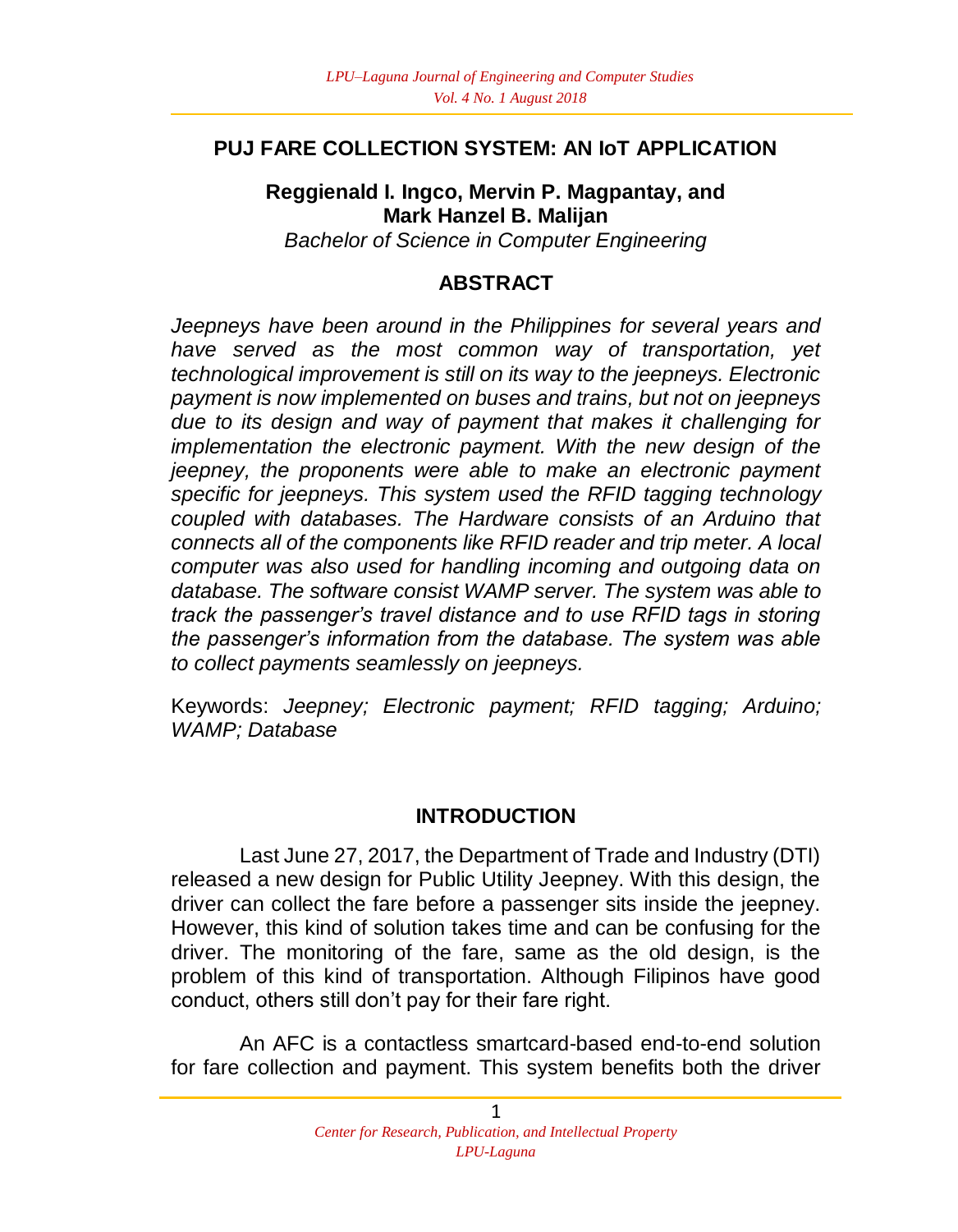#### **PUJ FARE COLLECTION SYSTEM: AN IoT APPLICATION**

### **Reggienald I. Ingco, Mervin P. Magpantay, and Mark Hanzel B. Malijan**

*Bachelor of Science in Computer Engineering*

#### **ABSTRACT**

*Jeepneys have been around in the Philippines for several years and have served as the most common way of transportation, yet technological improvement is still on its way to the jeepneys. Electronic payment is now implemented on buses and trains, but not on jeepneys due to its design and way of payment that makes it challenging for implementation the electronic payment. With the new design of the jeepney, the proponents were able to make an electronic payment specific for jeepneys. This system used the RFID tagging technology coupled with databases. The Hardware consists of an Arduino that connects all of the components like RFID reader and trip meter. A local computer was also used for handling incoming and outgoing data on database. The software consist WAMP server. The system was able to track the passenger's travel distance and to use RFID tags in storing the passenger's information from the database. The system was able to collect payments seamlessly on jeepneys.*

Keywords: *Jeepney; Electronic payment; RFID tagging; Arduino; WAMP; Database*

#### **INTRODUCTION**

Last June 27, 2017, the Department of Trade and Industry (DTI) released a new design for Public Utility Jeepney. With this design, the driver can collect the fare before a passenger sits inside the jeepney. However, this kind of solution takes time and can be confusing for the driver. The monitoring of the fare, same as the old design, is the problem of this kind of transportation. Although Filipinos have good conduct, others still don't pay for their fare right.

An AFC is a contactless smartcard-based end-to-end solution for fare collection and payment. This system benefits both the driver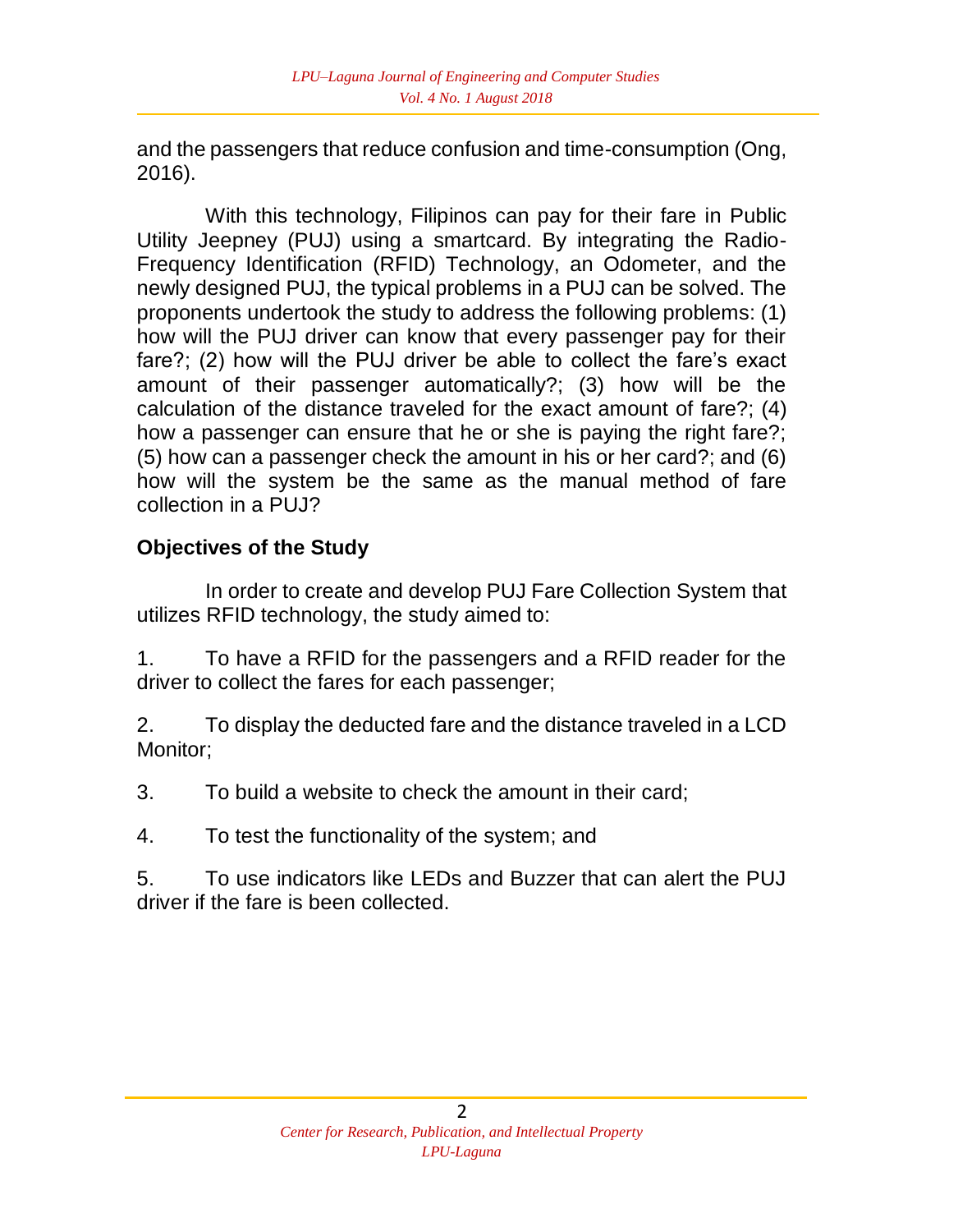and the passengers that reduce confusion and time-consumption (Ong, 2016).

With this technology, Filipinos can pay for their fare in Public Utility Jeepney (PUJ) using a smartcard. By integrating the Radio-Frequency Identification (RFID) Technology, an Odometer, and the newly designed PUJ, the typical problems in a PUJ can be solved. The proponents undertook the study to address the following problems: (1) how will the PUJ driver can know that every passenger pay for their fare?; (2) how will the PUJ driver be able to collect the fare's exact amount of their passenger automatically?; (3) how will be the calculation of the distance traveled for the exact amount of fare?; (4) how a passenger can ensure that he or she is paying the right fare?; (5) how can a passenger check the amount in his or her card?; and (6) how will the system be the same as the manual method of fare collection in a PUJ?

## **Objectives of the Study**

In order to create and develop PUJ Fare Collection System that utilizes RFID technology, the study aimed to:

1. To have a RFID for the passengers and a RFID reader for the driver to collect the fares for each passenger;

2. To display the deducted fare and the distance traveled in a LCD Monitor;

3. To build a website to check the amount in their card;

4. To test the functionality of the system; and

5. To use indicators like LEDs and Buzzer that can alert the PUJ driver if the fare is been collected.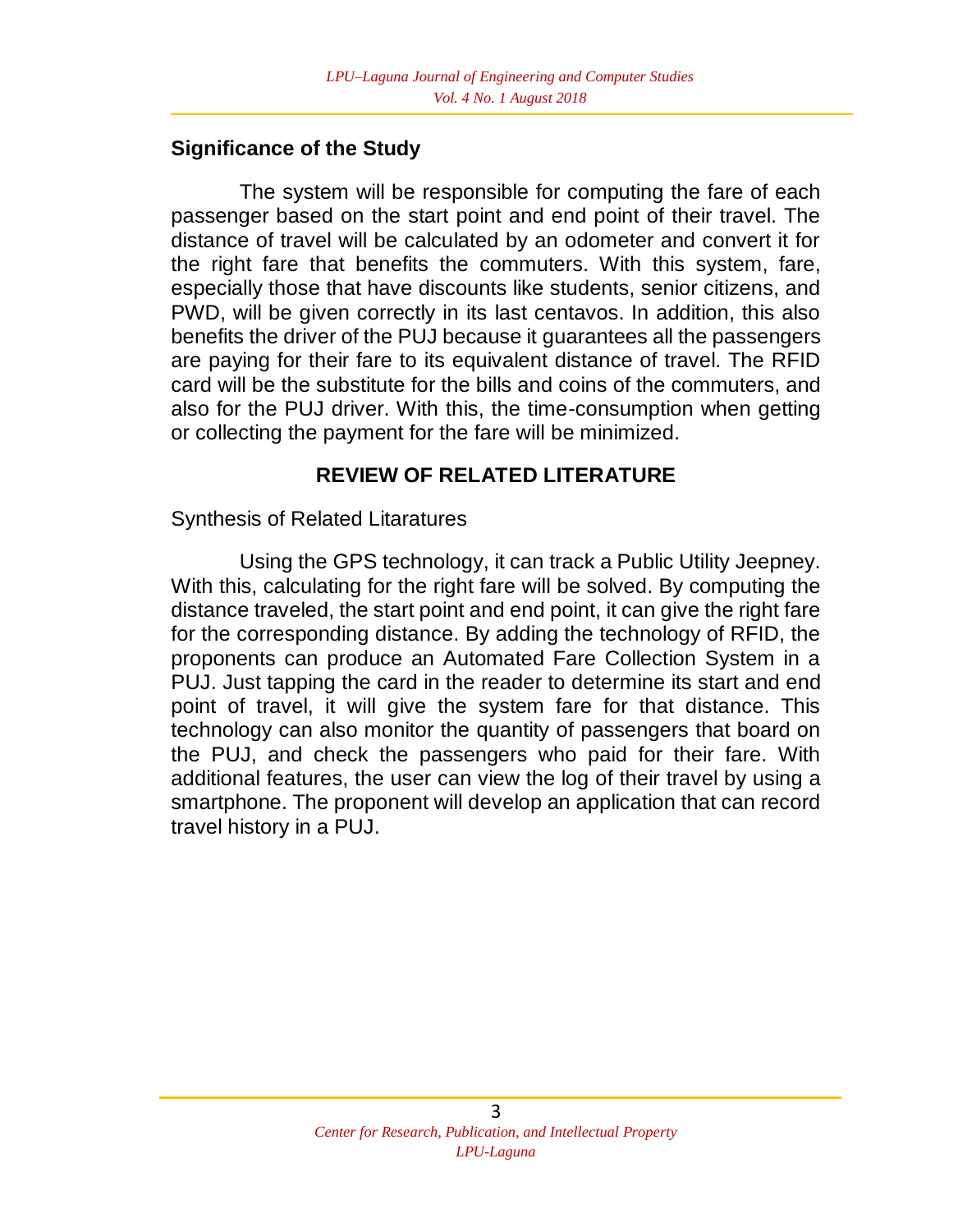#### **Significance of the Study**

The system will be responsible for computing the fare of each passenger based on the start point and end point of their travel. The distance of travel will be calculated by an odometer and convert it for the right fare that benefits the commuters. With this system, fare, especially those that have discounts like students, senior citizens, and PWD, will be given correctly in its last centavos. In addition, this also benefits the driver of the PUJ because it guarantees all the passengers are paying for their fare to its equivalent distance of travel. The RFID card will be the substitute for the bills and coins of the commuters, and also for the PUJ driver. With this, the time-consumption when getting or collecting the payment for the fare will be minimized.

### **REVIEW OF RELATED LITERATURE**

#### Synthesis of Related Litaratures

Using the GPS technology, it can track a Public Utility Jeepney. With this, calculating for the right fare will be solved. By computing the distance traveled, the start point and end point, it can give the right fare for the corresponding distance. By adding the technology of RFID, the proponents can produce an Automated Fare Collection System in a PUJ. Just tapping the card in the reader to determine its start and end point of travel, it will give the system fare for that distance. This technology can also monitor the quantity of passengers that board on the PUJ, and check the passengers who paid for their fare. With additional features, the user can view the log of their travel by using a smartphone. The proponent will develop an application that can record travel history in a PUJ.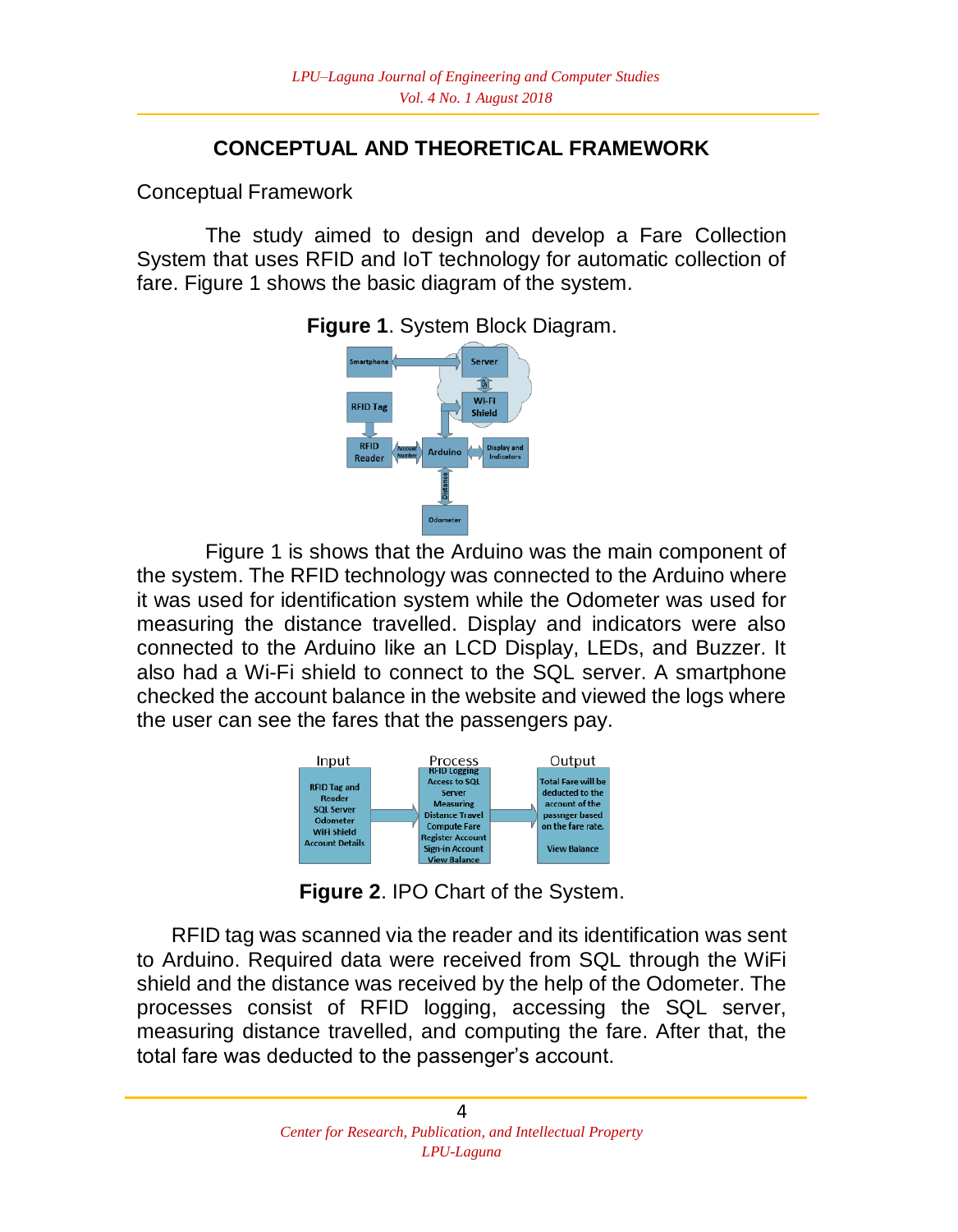## **CONCEPTUAL AND THEORETICAL FRAMEWORK**

Conceptual Framework

The study aimed to design and develop a Fare Collection System that uses RFID and IoT technology for automatic collection of fare. Figure 1 shows the basic diagram of the system.



**Figure 1**. System Block Diagram.

Figure 1 is shows that the Arduino was the main component of the system. The RFID technology was connected to the Arduino where it was used for identification system while the Odometer was used for measuring the distance travelled. Display and indicators were also connected to the Arduino like an LCD Display, LEDs, and Buzzer. It also had a Wi-Fi shield to connect to the SQL server. A smartphone checked the account balance in the website and viewed the logs where the user can see the fares that the passengers pay.



**Figure 2**. IPO Chart of the System.

 RFID tag was scanned via the reader and its identification was sent to Arduino. Required data were received from SQL through the WiFi shield and the distance was received by the help of the Odometer. The processes consist of RFID logging, accessing the SQL server, measuring distance travelled, and computing the fare. After that, the total fare was deducted to the passenger's account.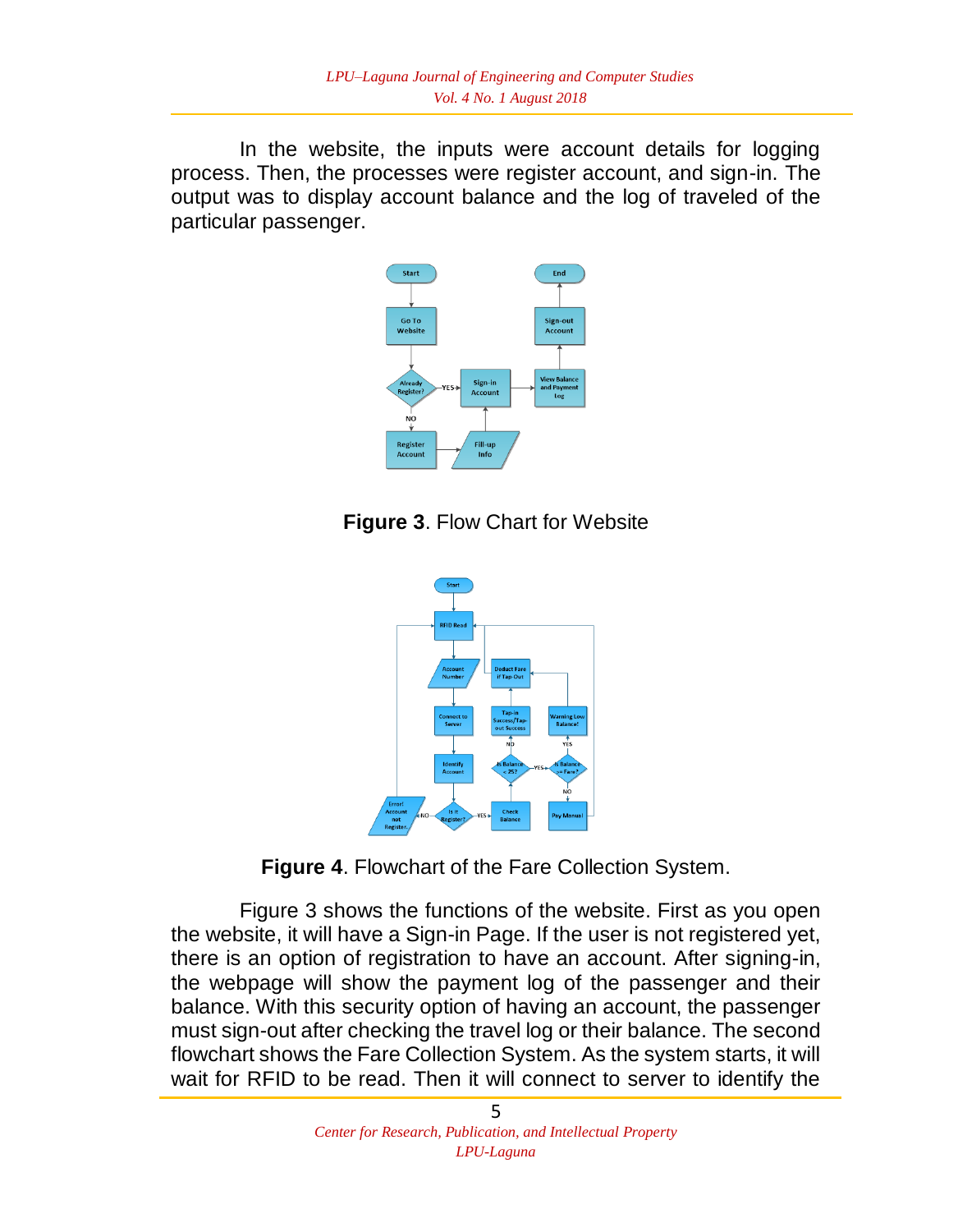In the website, the inputs were account details for logging process. Then, the processes were register account, and sign-in. The output was to display account balance and the log of traveled of the particular passenger.



**Figure 3**. Flow Chart for Website



**Figure 4**. Flowchart of the Fare Collection System.

Figure 3 shows the functions of the website. First as you open the website, it will have a Sign-in Page. If the user is not registered yet, there is an option of registration to have an account. After signing-in, the webpage will show the payment log of the passenger and their balance. With this security option of having an account, the passenger must sign-out after checking the travel log or their balance. The second flowchart shows the Fare Collection System. As the system starts, it will wait for RFID to be read. Then it will connect to server to identify the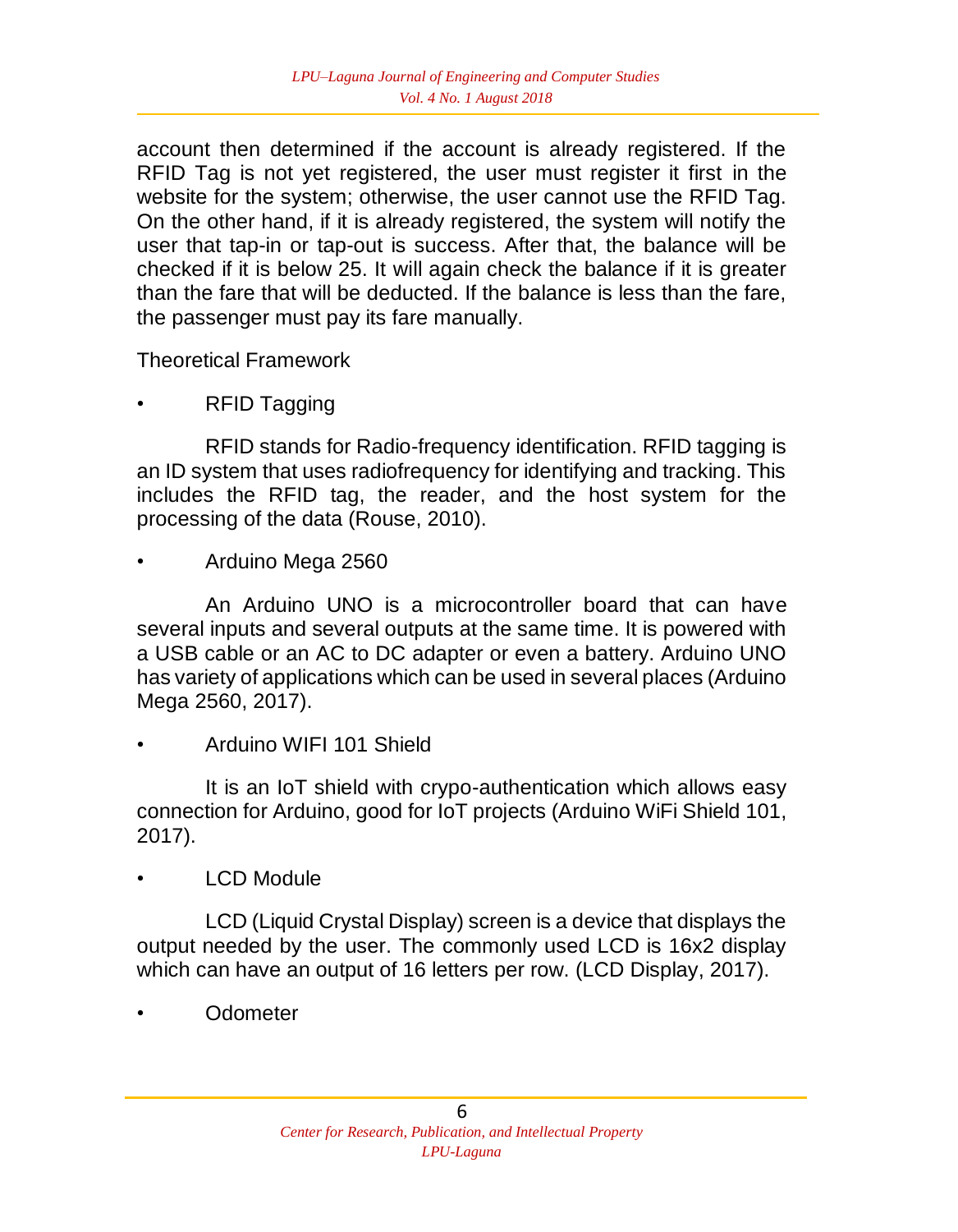account then determined if the account is already registered. If the RFID Tag is not yet registered, the user must register it first in the website for the system; otherwise, the user cannot use the RFID Tag. On the other hand, if it is already registered, the system will notify the user that tap-in or tap-out is success. After that, the balance will be checked if it is below 25. It will again check the balance if it is greater than the fare that will be deducted. If the balance is less than the fare, the passenger must pay its fare manually.

Theoretical Framework

• RFID Tagging

RFID stands for Radio-frequency identification. RFID tagging is an ID system that uses radiofrequency for identifying and tracking. This includes the RFID tag, the reader, and the host system for the processing of the data (Rouse, 2010).

• Arduino Mega 2560

An Arduino UNO is a microcontroller board that can have several inputs and several outputs at the same time. It is powered with a USB cable or an AC to DC adapter or even a battery. Arduino UNO has variety of applications which can be used in several places (Arduino Mega 2560, 2017).

• Arduino WIFI 101 Shield

It is an IoT shield with crypo-authentication which allows easy connection for Arduino, good for IoT projects (Arduino WiFi Shield 101, 2017).

• LCD Module

LCD (Liquid Crystal Display) screen is a device that displays the output needed by the user. The commonly used LCD is 16x2 display which can have an output of 16 letters per row. (LCD Display, 2017).

• Odometer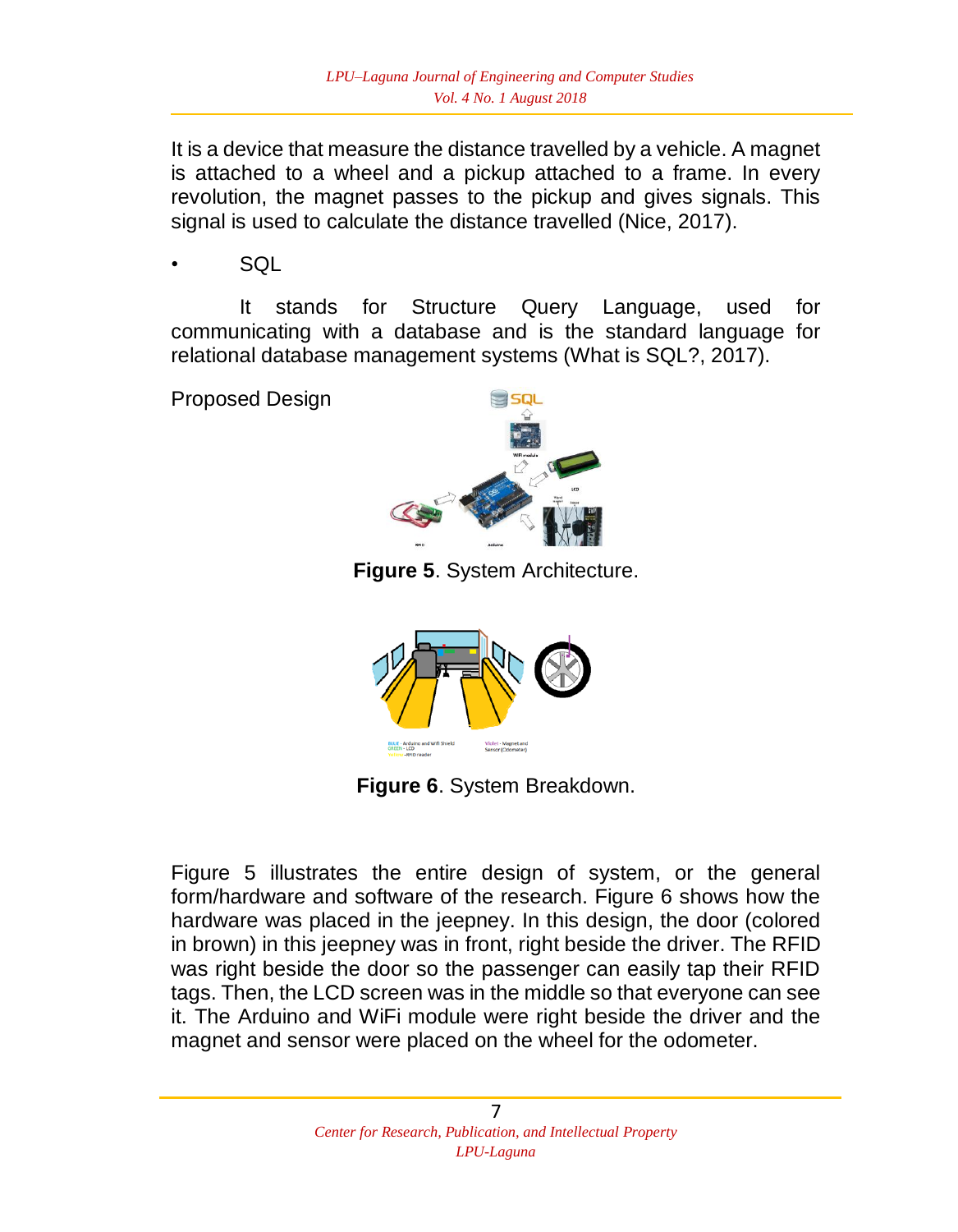It is a device that measure the distance travelled by a vehicle. A magnet is attached to a wheel and a pickup attached to a frame. In every revolution, the magnet passes to the pickup and gives signals. This signal is used to calculate the distance travelled (Nice, 2017).

• SQL

It stands for Structure Query Language, used for communicating with a database and is the standard language for relational database management systems (What is SQL?, 2017).

Proposed Design



**Figure 5**. System Architecture.



**Figure 6**. System Breakdown.

Figure 5 illustrates the entire design of system, or the general form/hardware and software of the research. Figure 6 shows how the hardware was placed in the jeepney. In this design, the door (colored in brown) in this jeepney was in front, right beside the driver. The RFID was right beside the door so the passenger can easily tap their RFID tags. Then, the LCD screen was in the middle so that everyone can see it. The Arduino and WiFi module were right beside the driver and the magnet and sensor were placed on the wheel for the odometer.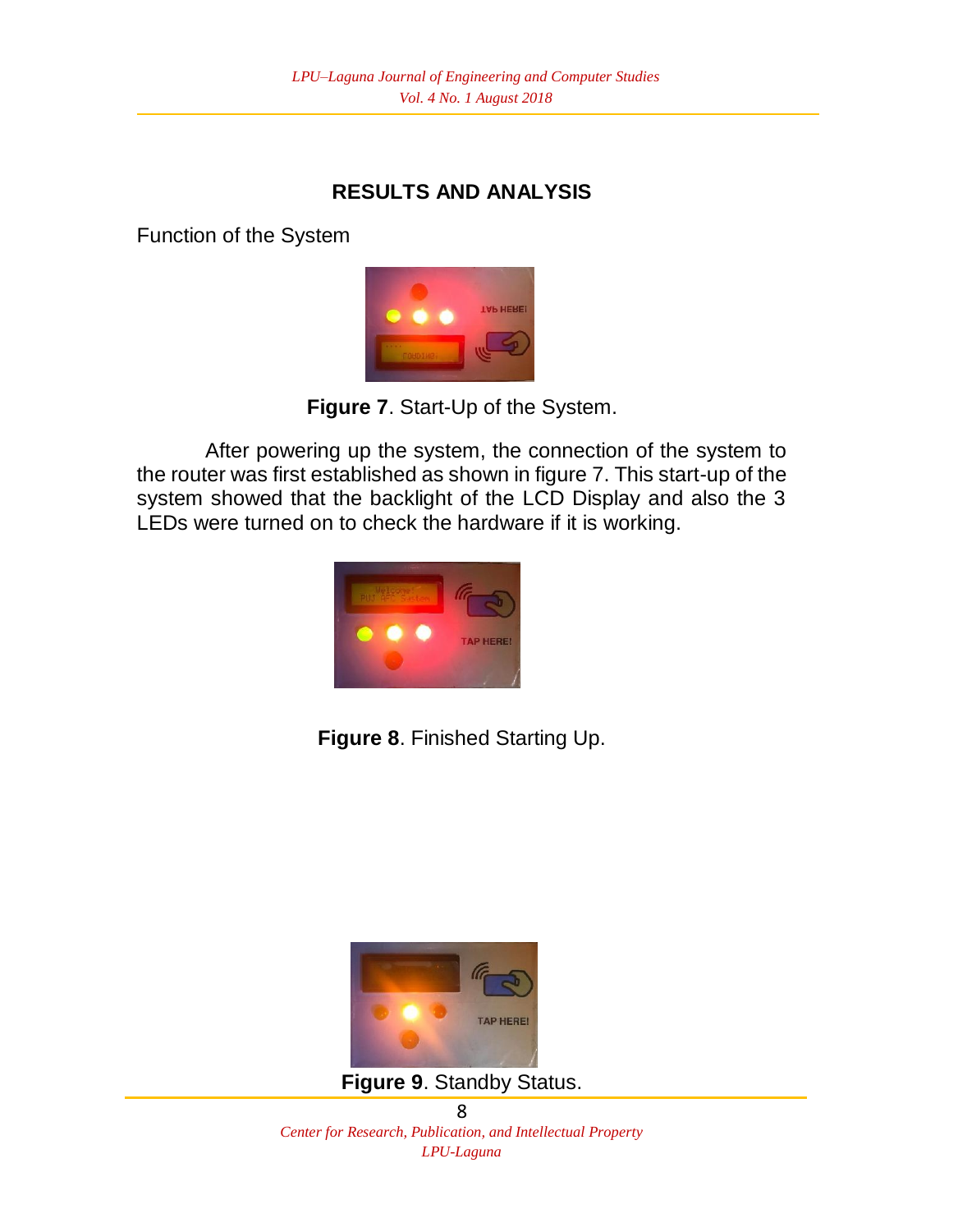## **RESULTS AND ANALYSIS**

Function of the System



**Figure 7**. Start-Up of the System.

After powering up the system, the connection of the system to the router was first established as shown in figure 7. This start-up of the system showed that the backlight of the LCD Display and also the 3 LEDs were turned on to check the hardware if it is working.



**Figure 8**. Finished Starting Up.



**Figure 9**. Standby Status.

8 *Center for Research, Publication, and Intellectual Property LPU-Laguna*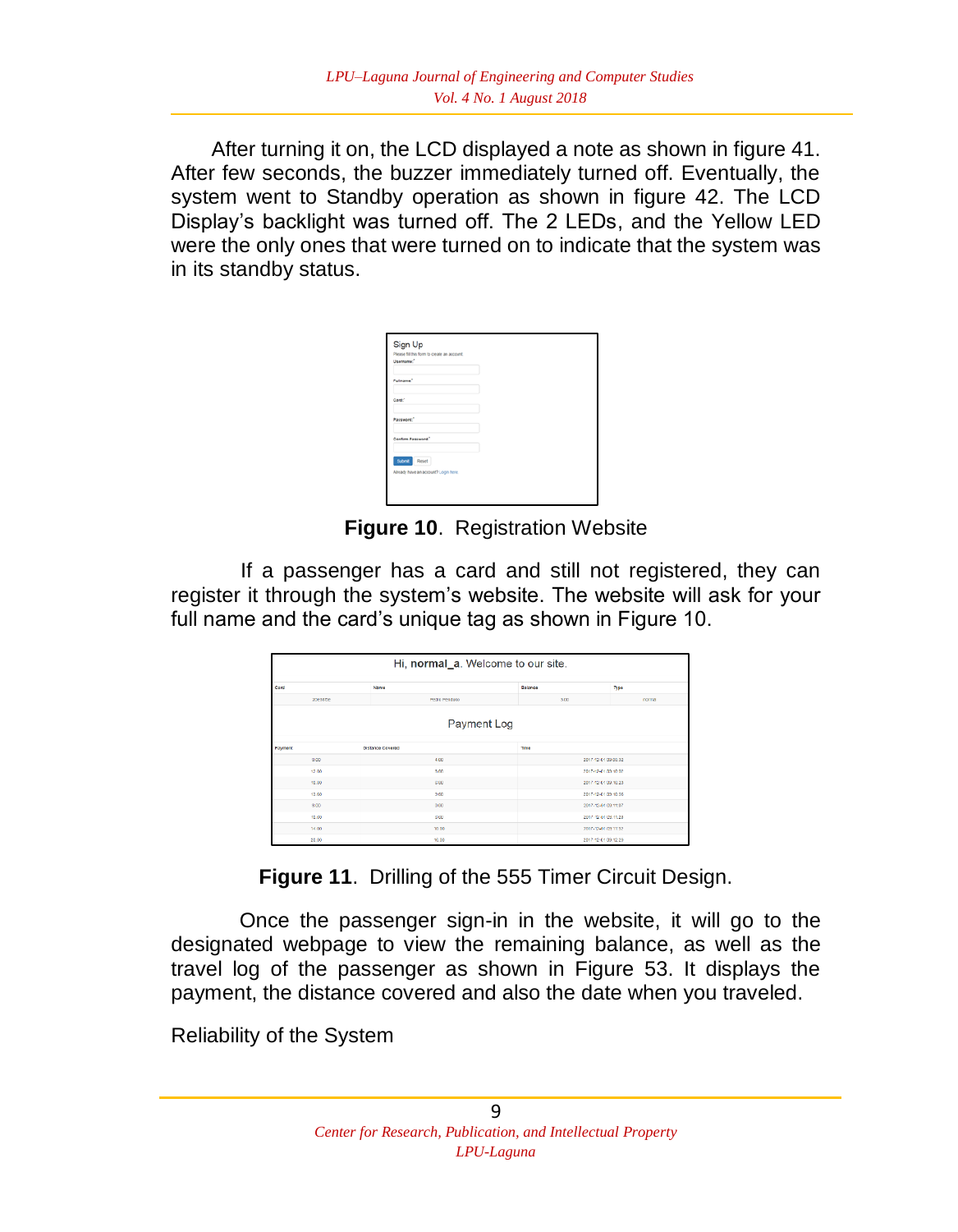After turning it on, the LCD displayed a note as shown in figure 41. After few seconds, the buzzer immediately turned off. Eventually, the system went to Standby operation as shown in figure 42. The LCD Display's backlight was turned off. The 2 LEDs, and the Yellow LED were the only ones that were turned on to indicate that the system was in its standby status.

| Sign Up<br>Please fit this form to create an account. |  |  |
|-------------------------------------------------------|--|--|
| Username:"                                            |  |  |
| Fullname."                                            |  |  |
| Card."                                                |  |  |
| Password."                                            |  |  |
| Confirm Password."                                    |  |  |
| <b>Submit Reset</b>                                   |  |  |
| Already have an account? Login here.                  |  |  |

**Figure 10**. Registration Website

 If a passenger has a card and still not registered, they can register it through the system's website. The website will ask for your full name and the card's unique tag as shown in Figure 10.

| Hi, normal_a. Welcome to our site. |                         |                     |        |  |  |  |
|------------------------------------|-------------------------|---------------------|--------|--|--|--|
| Card                               | Name                    | Balance             | Type   |  |  |  |
| 20e38f5e                           | <b>Pedro Penduko</b>    | 3.00                | normal |  |  |  |
| Payment Log                        |                         |                     |        |  |  |  |
| Payment                            | <b>Distance Covered</b> | Time                |        |  |  |  |
| 0.00                               | 4.00                    | 2017-12-01 09:00:32 |        |  |  |  |
| 12.00                              | 8.00                    | 2017-12-01 03:10:02 |        |  |  |  |
| 10.00                              | G.80                    | 2017-12/01 09:10:23 |        |  |  |  |
| 13.50                              | 2.60                    | 2017-12-01 03:10:06 |        |  |  |  |
| 8.00                               | 0.00                    | 2017-12-01 03:11:07 |        |  |  |  |
| 10.00                              | 6.60                    | 2017-12/01/09 11:20 |        |  |  |  |
| 14.00                              | 10.00                   | 2017-12-01 03:11:52 |        |  |  |  |
| 20.00                              | 16.00                   | 2017-12-01 03:12:29 |        |  |  |  |

**Figure 11**. Drilling of the 555 Timer Circuit Design.

Once the passenger sign-in in the website, it will go to the designated webpage to view the remaining balance, as well as the travel log of the passenger as shown in Figure 53. It displays the payment, the distance covered and also the date when you traveled.

Reliability of the System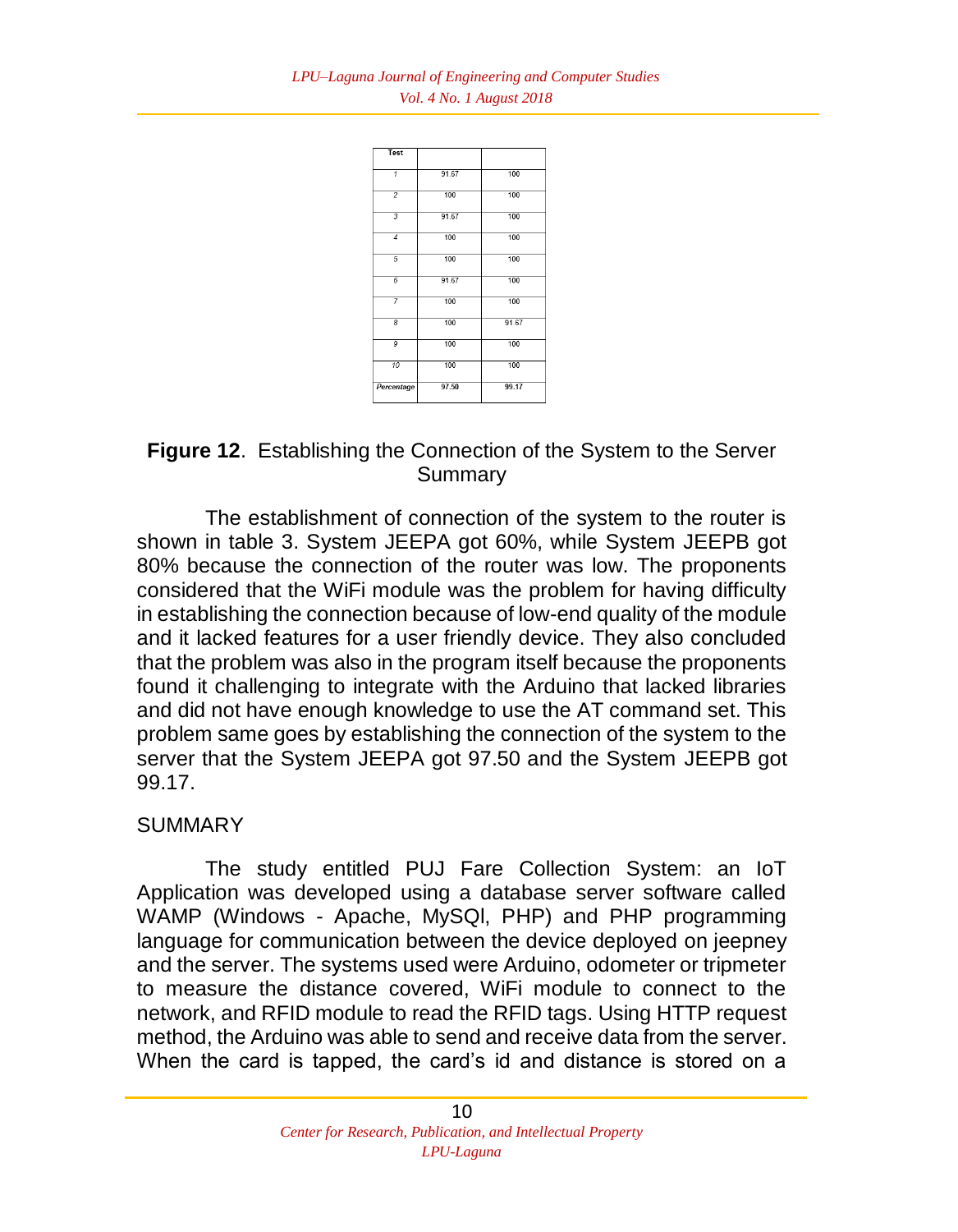

## **Figure 12**. Establishing the Connection of the System to the Server Summary

The establishment of connection of the system to the router is shown in table 3. System JEEPA got 60%, while System JEEPB got 80% because the connection of the router was low. The proponents considered that the WiFi module was the problem for having difficulty in establishing the connection because of low-end quality of the module and it lacked features for a user friendly device. They also concluded that the problem was also in the program itself because the proponents found it challenging to integrate with the Arduino that lacked libraries and did not have enough knowledge to use the AT command set. This problem same goes by establishing the connection of the system to the server that the System JEEPA got 97.50 and the System JEEPB got 99.17.

#### SUMMARY

The study entitled PUJ Fare Collection System: an IoT Application was developed using a database server software called WAMP (Windows - Apache, MySQl, PHP) and PHP programming language for communication between the device deployed on jeepney and the server. The systems used were Arduino, odometer or tripmeter to measure the distance covered, WiFi module to connect to the network, and RFID module to read the RFID tags. Using HTTP request method, the Arduino was able to send and receive data from the server. When the card is tapped, the card's id and distance is stored on a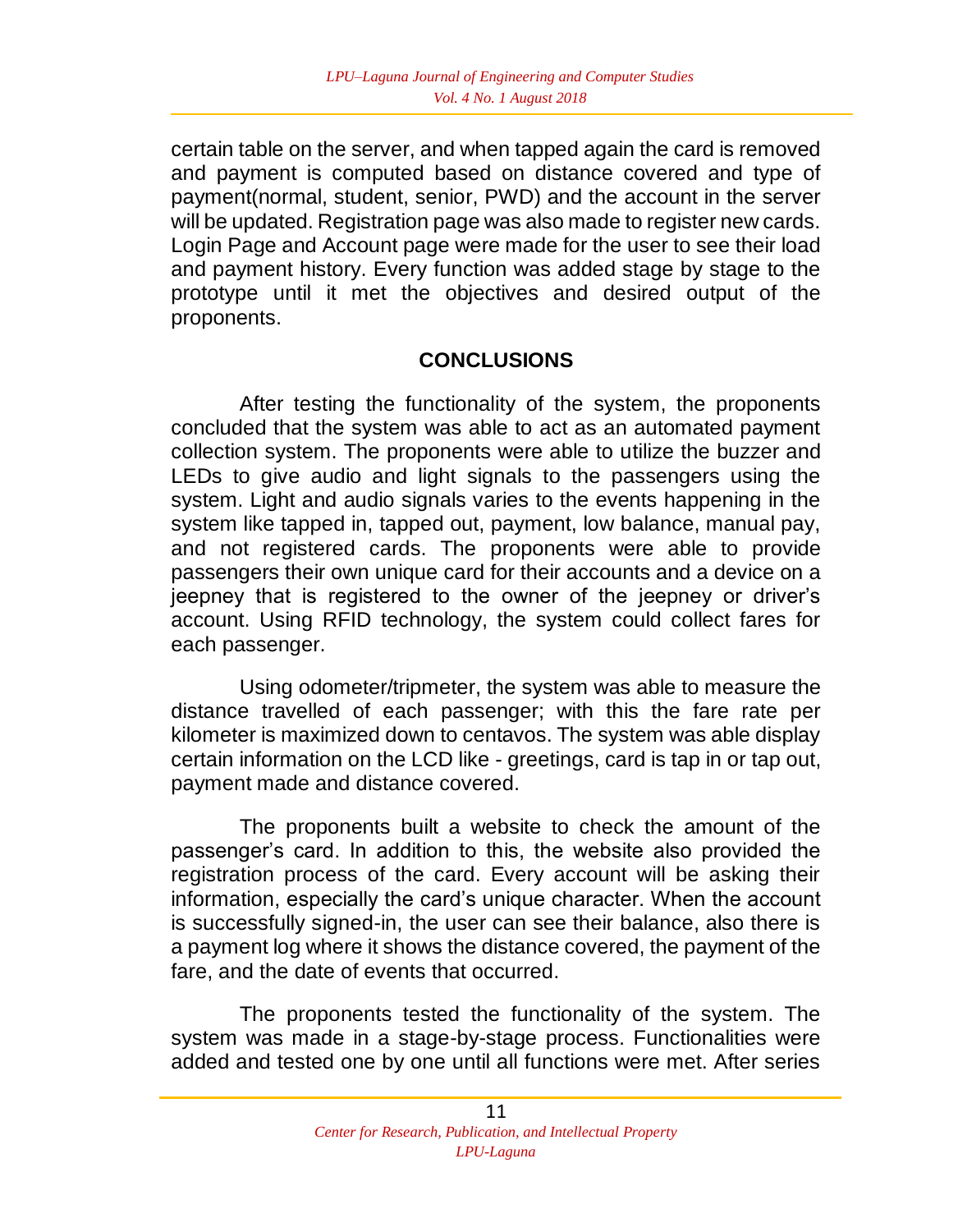certain table on the server, and when tapped again the card is removed and payment is computed based on distance covered and type of payment(normal, student, senior, PWD) and the account in the server will be updated. Registration page was also made to register new cards. Login Page and Account page were made for the user to see their load and payment history. Every function was added stage by stage to the prototype until it met the objectives and desired output of the proponents.

#### **CONCLUSIONS**

After testing the functionality of the system, the proponents concluded that the system was able to act as an automated payment collection system. The proponents were able to utilize the buzzer and LEDs to give audio and light signals to the passengers using the system. Light and audio signals varies to the events happening in the system like tapped in, tapped out, payment, low balance, manual pay, and not registered cards. The proponents were able to provide passengers their own unique card for their accounts and a device on a jeepney that is registered to the owner of the jeepney or driver's account. Using RFID technology, the system could collect fares for each passenger.

Using odometer/tripmeter, the system was able to measure the distance travelled of each passenger; with this the fare rate per kilometer is maximized down to centavos. The system was able display certain information on the LCD like - greetings, card is tap in or tap out, payment made and distance covered.

The proponents built a website to check the amount of the passenger's card. In addition to this, the website also provided the registration process of the card. Every account will be asking their information, especially the card's unique character. When the account is successfully signed-in, the user can see their balance, also there is a payment log where it shows the distance covered, the payment of the fare, and the date of events that occurred.

The proponents tested the functionality of the system. The system was made in a stage-by-stage process. Functionalities were added and tested one by one until all functions were met. After series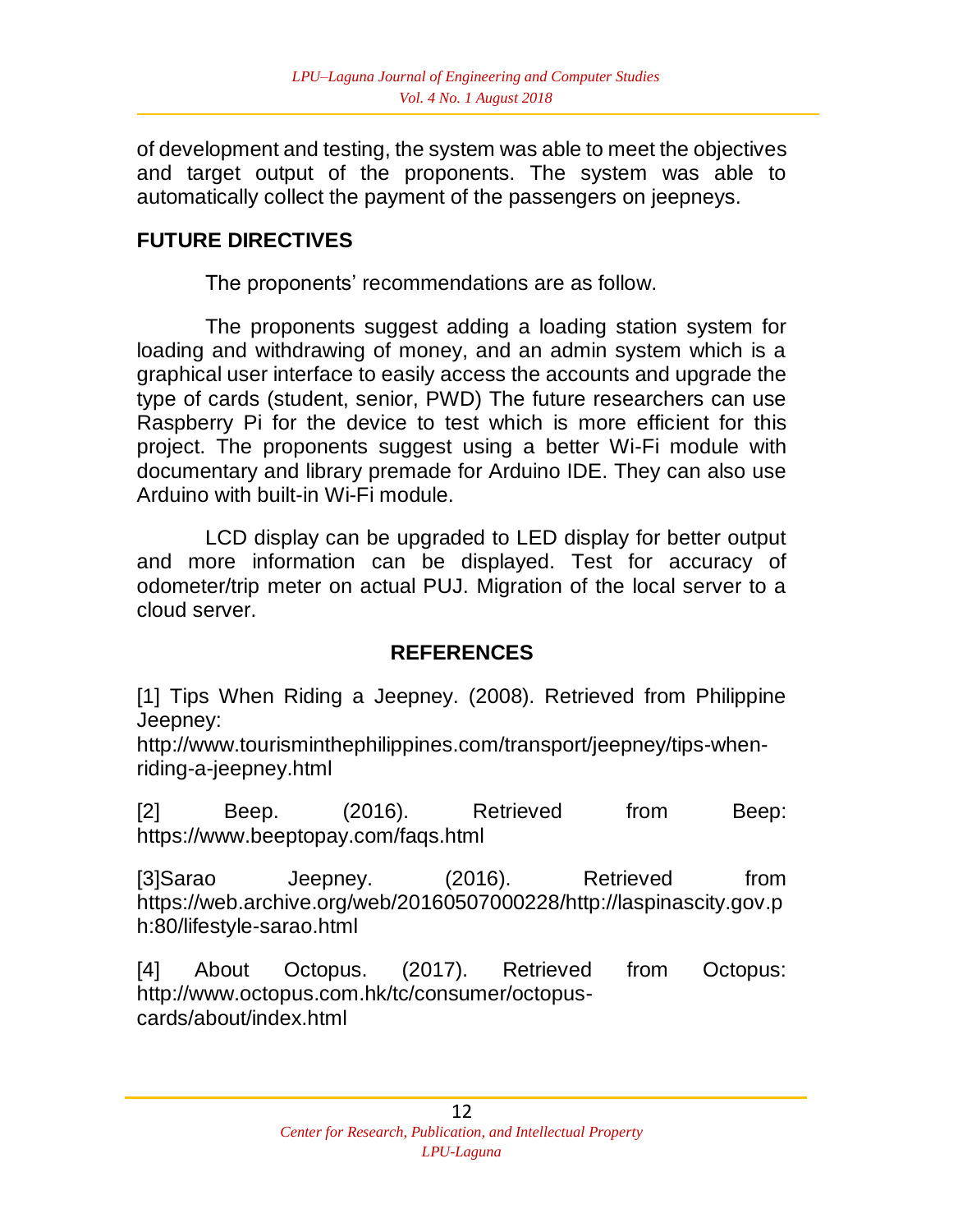of development and testing, the system was able to meet the objectives and target output of the proponents. The system was able to automatically collect the payment of the passengers on jeepneys.

# **FUTURE DIRECTIVES**

The proponents' recommendations are as follow.

The proponents suggest adding a loading station system for loading and withdrawing of money, and an admin system which is a graphical user interface to easily access the accounts and upgrade the type of cards (student, senior, PWD) The future researchers can use Raspberry Pi for the device to test which is more efficient for this project. The proponents suggest using a better Wi-Fi module with documentary and library premade for Arduino IDE. They can also use Arduino with built-in Wi-Fi module.

LCD display can be upgraded to LED display for better output and more information can be displayed. Test for accuracy of odometer/trip meter on actual PUJ. Migration of the local server to a cloud server.

## **REFERENCES**

[1] Tips When Riding a Jeepney. (2008). Retrieved from Philippine Jeepney:

http://www.tourisminthephilippines.com/transport/jeepney/tips-whenriding-a-jeepney.html

[2] Beep. (2016). Retrieved from Beep: https://www.beeptopay.com/faqs.html

[3]Sarao Jeepney. (2016). Retrieved from https://web.archive.org/web/20160507000228/http://laspinascity.gov.p h:80/lifestyle-sarao.html

[4] About Octopus. (2017). Retrieved from Octopus: http://www.octopus.com.hk/tc/consumer/octopuscards/about/index.html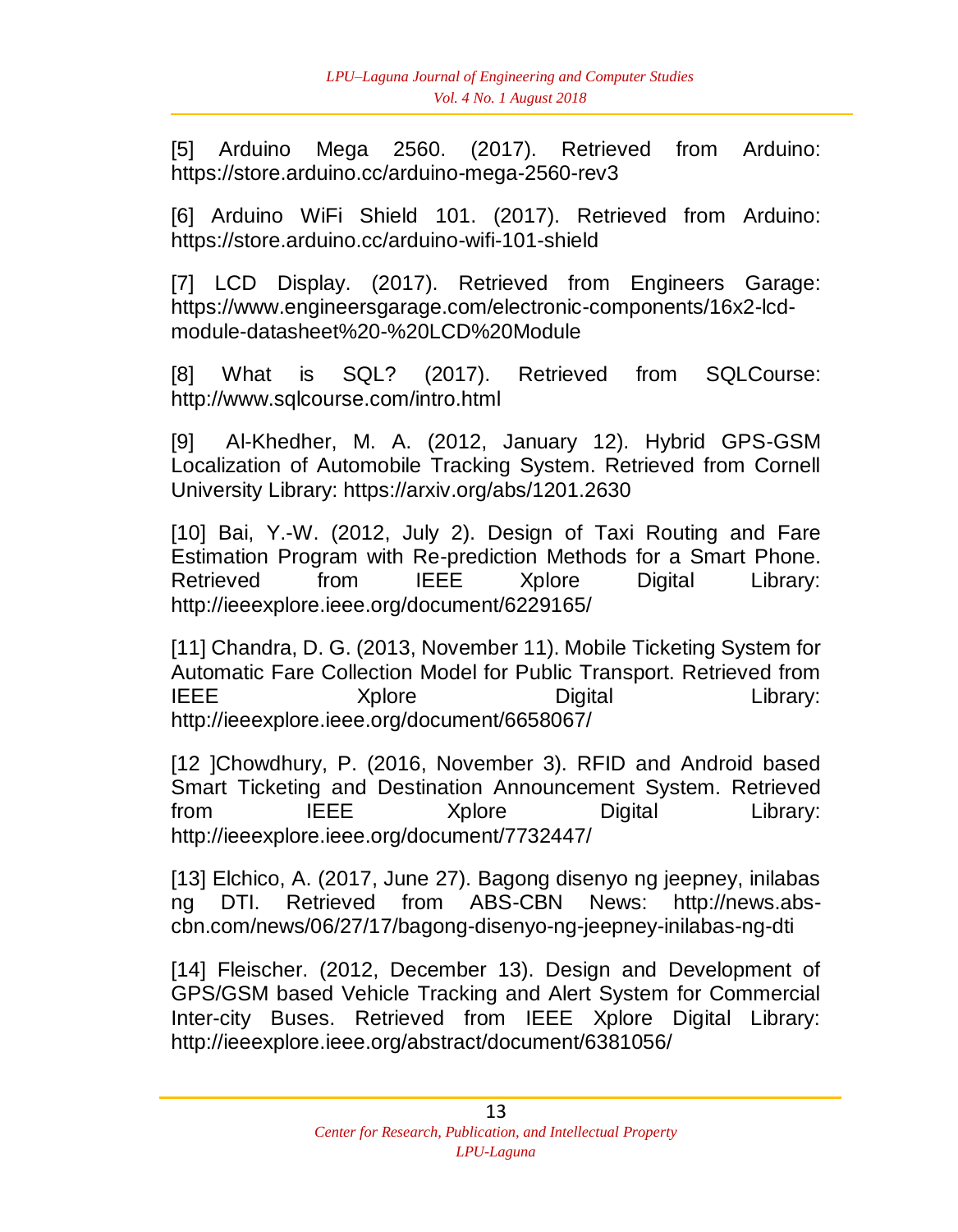[5] Arduino Mega 2560. (2017). Retrieved from Arduino: https://store.arduino.cc/arduino-mega-2560-rev3

[6] Arduino WiFi Shield 101. (2017). Retrieved from Arduino: https://store.arduino.cc/arduino-wifi-101-shield

[7] LCD Display. (2017). Retrieved from Engineers Garage: https://www.engineersgarage.com/electronic-components/16x2-lcdmodule-datasheet%20-%20LCD%20Module

[8] What is SQL? (2017). Retrieved from SQLCourse: http://www.sqlcourse.com/intro.html

[9] Al-Khedher, M. A. (2012, January 12). Hybrid GPS-GSM Localization of Automobile Tracking System. Retrieved from Cornell University Library: https://arxiv.org/abs/1201.2630

[10] Bai, Y.-W. (2012, July 2). Design of Taxi Routing and Fare Estimation Program with Re-prediction Methods for a Smart Phone. Retrieved from IEEE Xplore Digital Library: http://ieeexplore.ieee.org/document/6229165/

[11] Chandra, D. G. (2013, November 11). Mobile Ticketing System for Automatic Fare Collection Model for Public Transport. Retrieved from IEEE Xplore Digital Library: http://ieeexplore.ieee.org/document/6658067/

[12 ]Chowdhury, P. (2016, November 3). RFID and Android based Smart Ticketing and Destination Announcement System. Retrieved from IEEE Xplore Digital Library: http://ieeexplore.ieee.org/document/7732447/

[13] Elchico, A. (2017, June 27). Bagong disenyo ng jeepney, inilabas ng DTI. Retrieved from ABS-CBN News: http://news.abscbn.com/news/06/27/17/bagong-disenyo-ng-jeepney-inilabas-ng-dti

[14] Fleischer. (2012, December 13). Design and Development of GPS/GSM based Vehicle Tracking and Alert System for Commercial Inter-city Buses. Retrieved from IEEE Xplore Digital Library: http://ieeexplore.ieee.org/abstract/document/6381056/